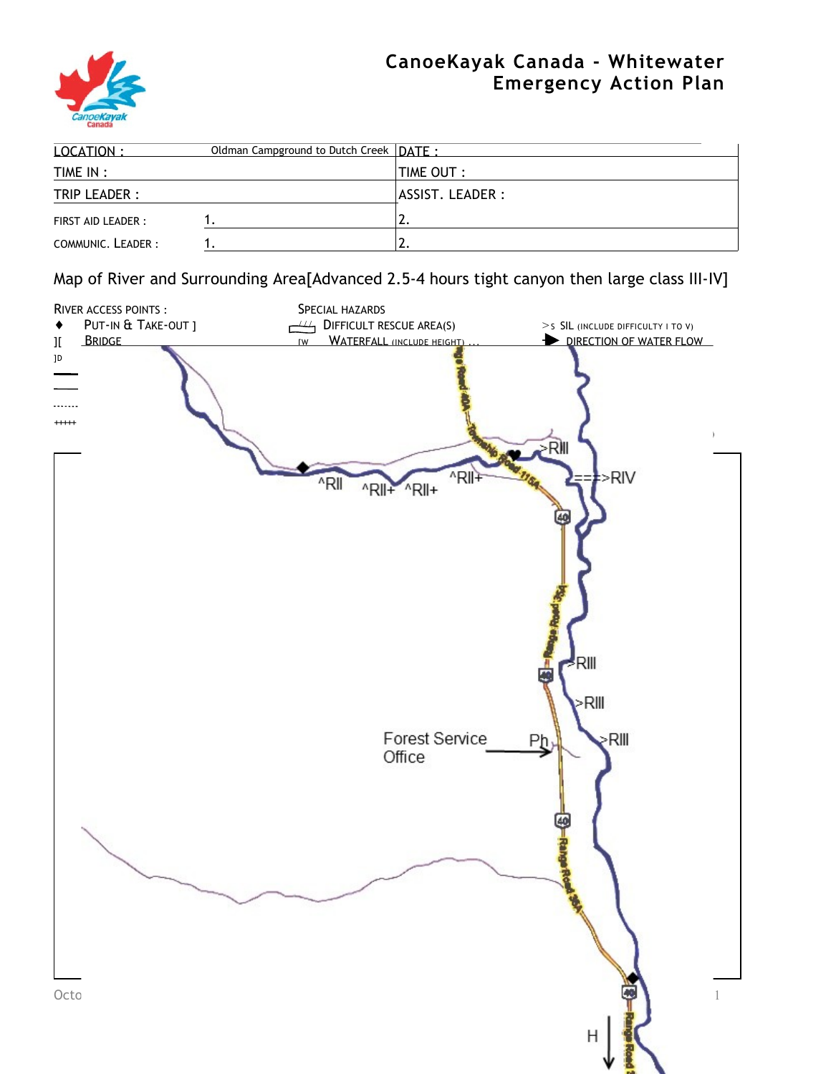

## **CanoeKayak Canada - Whitewater Emergency Action Plan**

| 10CATION:          | Oldman Campground to Dutch Creek   DATF · |                           |  |
|--------------------|-------------------------------------------|---------------------------|--|
| TIME IN :          |                                           | $\blacksquare$ TIME OUT : |  |
| TRIP LEADER :      |                                           | ASSIST. LEADER :          |  |
| FIRST AID LEADER : |                                           | <u>.</u>                  |  |
| COMMUNIC. LEADER:  |                                           |                           |  |

Map of River and Surrounding Area[Advanced 2.5-4 hours tight canyon then large class III-IV]